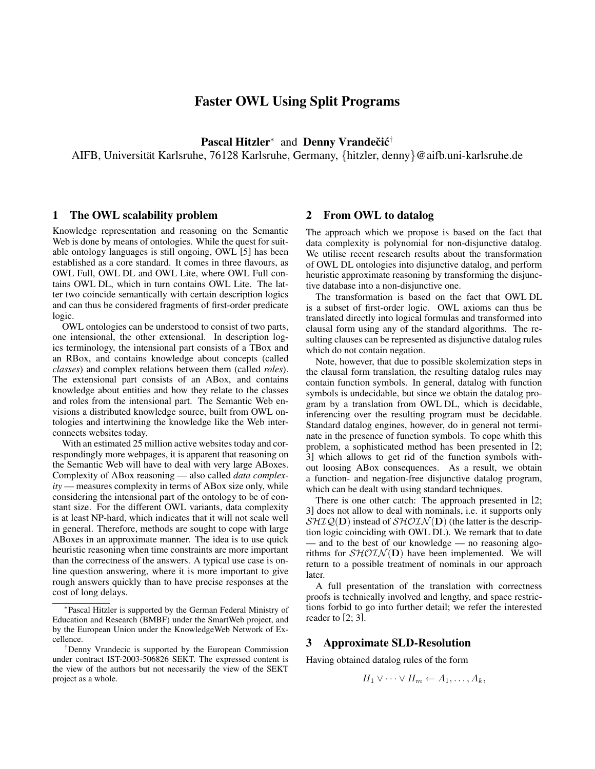# Faster OWL Using Split Programs

Pascal Hitzler<sup>\*</sup> and Denny Vrandečić<sup>†</sup>

AIFB, Universität Karlsruhe, 76128 Karlsruhe, Germany, {hitzler, denny}@aifb.uni-karlsruhe.de

#### 1 The OWL scalability problem

Knowledge representation and reasoning on the Semantic Web is done by means of ontologies. While the quest for suitable ontology languages is still ongoing, OWL [5] has been established as a core standard. It comes in three flavours, as OWL Full, OWL DL and OWL Lite, where OWL Full contains OWL DL, which in turn contains OWL Lite. The latter two coincide semantically with certain description logics and can thus be considered fragments of first-order predicate logic.

OWL ontologies can be understood to consist of two parts, one intensional, the other extensional. In description logics terminology, the intensional part consists of a TBox and an RBox, and contains knowledge about concepts (called *classes*) and complex relations between them (called *roles*). The extensional part consists of an ABox, and contains knowledge about entities and how they relate to the classes and roles from the intensional part. The Semantic Web envisions a distributed knowledge source, built from OWL ontologies and intertwining the knowledge like the Web interconnects websites today.

With an estimated 25 million active websites today and correspondingly more webpages, it is apparent that reasoning on the Semantic Web will have to deal with very large ABoxes. Complexity of ABox reasoning — also called *data complexity* — measures complexity in terms of ABox size only, while considering the intensional part of the ontology to be of constant size. For the different OWL variants, data complexity is at least NP-hard, which indicates that it will not scale well in general. Therefore, methods are sought to cope with large ABoxes in an approximate manner. The idea is to use quick heuristic reasoning when time constraints are more important than the correctness of the answers. A typical use case is online question answering, where it is more important to give rough answers quickly than to have precise responses at the cost of long delays.

#### 2 From OWL to datalog

The approach which we propose is based on the fact that data complexity is polynomial for non-disjunctive datalog. We utilise recent research results about the transformation of OWL DL ontologies into disjunctive datalog, and perform heuristic approximate reasoning by transforming the disjunctive database into a non-disjunctive one.

The transformation is based on the fact that OWL DL is a subset of first-order logic. OWL axioms can thus be translated directly into logical formulas and transformed into clausal form using any of the standard algorithms. The resulting clauses can be represented as disjunctive datalog rules which do not contain negation.

Note, however, that due to possible skolemization steps in the clausal form translation, the resulting datalog rules may contain function symbols. In general, datalog with function symbols is undecidable, but since we obtain the datalog program by a translation from OWL DL, which is decidable, inferencing over the resulting program must be decidable. Standard datalog engines, however, do in general not terminate in the presence of function symbols. To cope whith this problem, a sophisticated method has been presented in [2; 3] which allows to get rid of the function symbols without loosing ABox consequences. As a result, we obtain a function- and negation-free disjunctive datalog program, which can be dealt with using standard techniques.

There is one other catch: The approach presented in [2; 3] does not allow to deal with nominals, i.e. it supports only  $\mathcal{SHIQ}(\mathbf{D})$  instead of  $\mathcal{SHOIN}(\mathbf{D})$  (the latter is the description logic coinciding with OWL DL). We remark that to date — and to the best of our knowledge — no reasoning algorithms for  $\mathcal{SHOLN}(\mathbf{D})$  have been implemented. We will return to a possible treatment of nominals in our approach later.

A full presentation of the translation with correctness proofs is technically involved and lengthy, and space restrictions forbid to go into further detail; we refer the interested reader to [2; 3].

#### 3 Approximate SLD-Resolution

Having obtained datalog rules of the form

$$
H_1 \vee \cdots \vee H_m \leftarrow A_1, \ldots, A_k,
$$

<sup>∗</sup> Pascal Hitzler is supported by the German Federal Ministry of Education and Research (BMBF) under the SmartWeb project, and by the European Union under the KnowledgeWeb Network of Excellence.

<sup>†</sup>Denny Vrandecic is supported by the European Commission under contract IST-2003-506826 SEKT. The expressed content is the view of the authors but not necessarily the view of the SEKT project as a whole.